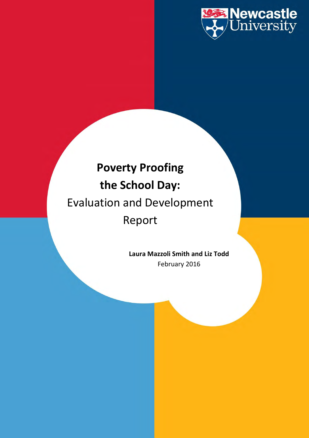

# **Poverty Proofing the School Day:** Evaluation and Development Report

**Laura Mazzoli Smith and Liz Todd** February 2016

0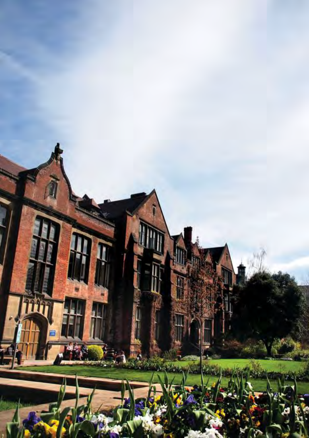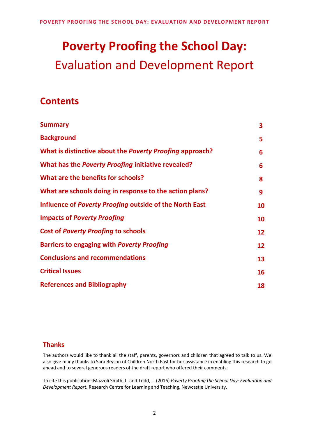# **Poverty Proofing the School Day:**  Evaluation and Development Report

### **Contents**

| <b>Summary</b>                                                 | 3  |
|----------------------------------------------------------------|----|
| <b>Background</b>                                              | 5. |
| What is distinctive about the Poverty Proofing approach?       | 6  |
| What has the Poverty Proofing initiative revealed?             | 6  |
| What are the benefits for schools?                             | 8  |
| What are schools doing in response to the action plans?        | 9  |
| Influence of <i>Poverty Proofing</i> outside of the North East | 10 |
| <b>Impacts of Poverty Proofing</b>                             |    |
| <b>Cost of Poverty Proofing to schools</b>                     |    |
| <b>Barriers to engaging with Poverty Proofing</b>              |    |
| <b>Conclusions and recommendations</b>                         |    |
| <b>Critical Issues</b>                                         |    |
| <b>References and Bibliography</b>                             |    |

### **Thanks**

The authors would like to thank all the staff, parents, governors and children that agreed to talk to us. We also give many thanks to Sara Bryson of Children North East for her assistance in enabling this research to go ahead and to several generous readers of the draft report who offered their comments.

To cite this publication: Mazzoli Smith, L. and Todd, L. (2016) *Poverty Proofing the School Day: Evaluation and Development Report.* Research Centre for Learning and Teaching, Newcastle University.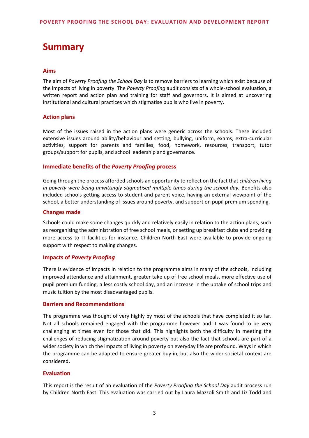### **Summary**

### **Aims**

The aim of *Poverty Proofing the School Day* is to remove barriers to learning which exist because of the impacts of living in poverty. The *Poverty Proofing* audit consists of a whole-school evaluation, a written report and action plan and training for staff and governors. It is aimed at uncovering institutional and cultural practices which stigmatise pupils who live in poverty.

### **Action plans**

Most of the issues raised in the action plans were generic across the schools. These included extensive issues around ability/behaviour and setting, bullying, uniform, exams, extra-curricular activities, support for parents and families, food, homework, resources, transport, tutor groups/support for pupils, and school leadership and governance.

### **Immediate benefits of the** *Poverty Proofing* **process**

Going through the process afforded schools an opportunity to reflect on the fact that *children living in poverty were being unwittingly stigmatised multiple times during the school day.* Benefits also included schools getting access to student and parent voice, having an external viewpoint of the school, a better understanding of issues around poverty, and support on pupil premium spending.

### **Changes made**

Schools could make some changes quickly and relatively easily in relation to the action plans, such as reorganising the administration of free school meals, or setting up breakfast clubs and providing more access to IT facilities for instance. Children North East were available to provide ongoing support with respect to making changes.

### **Impacts of** *Poverty Proofing*

There is evidence of impacts in relation to the programme aims in many of the schools, including improved attendance and attainment, greater take up of free school meals, more effective use of pupil premium funding, a less costly school day, and an increase in the uptake of school trips and music tuition by the most disadvantaged pupils.

### **Barriers and Recommendations**

The programme was thought of very highly by most of the schools that have completed it so far. Not all schools remained engaged with the programme however and it was found to be very challenging at times even for those that did. This highlights both the difficulty in meeting the challenges of reducing stigmatization around poverty but also the fact that schools are part of a wider society in which the impacts of living in poverty on everyday life are profound. Ways in which the programme can be adapted to ensure greater buy-in, but also the wider societal context are considered.

### **Evaluation**

This report is the result of an evaluation of the *Poverty Proofing the School Day* audit process run by Children North East. This evaluation was carried out by Laura Mazzoli Smith and Liz Todd and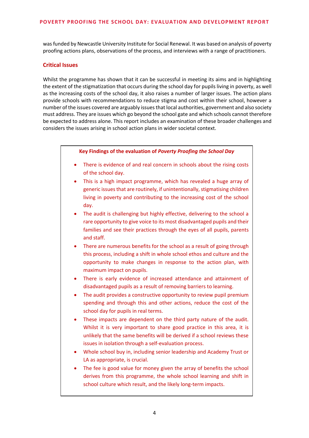was funded by Newcastle University Institute for Social Renewal. It was based on analysis of poverty proofing actions plans, observations of the process, and interviews with a range of practitioners.

### **Critical Issues**

Whilst the programme has shown that it can be successful in meeting its aims and in highlighting the extent of the stigmatization that occurs during the school day for pupils living in poverty, as well as the increasing costs of the school day, it also raises a number of larger issues. The action plans provide schools with recommendations to reduce stigma and cost within their school, however a number of the issues covered are arguably issues that local authorities, government and also society must address. They are issues which go beyond the school gate and which schools cannot therefore be expected to address alone. This report includes an examination of these broader challenges and considers the issues arising in school action plans in wider societal context.

### **Key Findings of the evaluation of** *Poverty Proofing the School Day*

- There is evidence of and real concern in schools about the rising costs of the school day.
- This is a high impact programme, which has revealed a huge array of generic issues that are routinely, if unintentionally, stigmatising children living in poverty and contributing to the increasing cost of the school day.
- The audit is challenging but highly effective, delivering to the school a rare opportunity to give voice to its most disadvantaged pupils and their families and see their practices through the eyes of all pupils, parents and staff.
- There are numerous benefits for the school as a result of going through this process, including a shift in whole school ethos and culture and the opportunity to make changes in response to the action plan, with maximum impact on pupils.
- There is early evidence of increased attendance and attainment of disadvantaged pupils as a result of removing barriers to learning.
- The audit provides a constructive opportunity to review pupil premium spending and through this and other actions, reduce the cost of the school day for pupils in real terms.
- These impacts are dependent on the third party nature of the audit. Whilst it is very important to share good practice in this area, it is unlikely that the same benefits will be derived if a school reviews these issues in isolation through a self-evaluation process.
- Whole school buy in, including senior leadership and Academy Trust or LA as appropriate, is crucial.
- The fee is good value for money given the array of benefits the school derives from this programme, the whole school learning and shift in school culture which result, and the likely long-term impacts.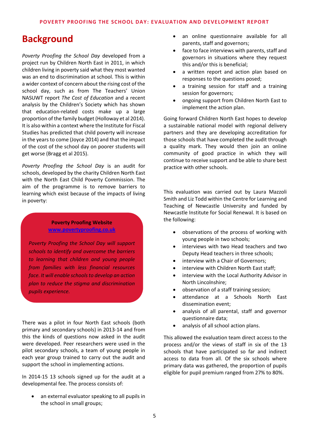### **Background**

*Poverty Proofing the School Day* developed from a project run by Children North East in 2011, in which children living in poverty said what they most wanted was an end to discrimination at school. This is within a wider context of concern about the rising cost of the school day, such as from The Teachers' Union NASUWT report *The Cost of Education* and a recent analysis by the Children's Society which has shown that education-related costs make up a large proportion of the family budget (Holloway et al 2014). It is also within a context where the Institute for Fiscal Studies has predicted that child poverty will increase in the years to come (Joyce 2014) and that the impact of the cost of the school day on poorer students will get worse (Bragg et al 2015).

*Poverty Proofing the School Day* is an audit for schools, developed by the charity Children North East with the North East Child Poverty Commission. The aim of the programme is to remove barriers to learning which exist because of the impacts of living in poverty:

### **Poverty Proofing Website [www.povertyproofing.co.uk](http://www.povertyproofing.co.uk/)**

*Poverty Proofing the School Day will support schools to identify and overcome the barriers to learning that children and young people from families with less financial resources face. It will enable schools to develop an action plan to reduce the stigma and discrimination pupils experience.* 

There was a pilot in four North East schools (both primary and secondary schools) in 2013-14 and from this the kinds of questions now asked in the audit were developed. Peer researchers were used in the pilot secondary schools, a team of young people in each year group trained to carry out the audit and support the school in implementing actions.

In 2014-15 13 schools signed up for the audit at a developmental fee. The process consists of:

 an external evaluator speaking to all pupils in the school in small groups;

- an online questionnaire available for all parents, staff and governors;
- face to face interviews with parents, staff and governors in situations where they request this and/or this is beneficial;
- a written report and action plan based on responses to the questions posed;
- a training session for staff and a training session for governors;
- ongoing support from Children North East to implement the action plan.

Going forward Children North East hopes to develop a sustainable national model with regional delivery partners and they are developing accreditation for those schools that have completed the audit through a quality mark. They would then join an online community of good practice in which they will continue to receive support and be able to share best practice with other schools.

This evaluation was carried out by Laura Mazzoli Smith and Liz Todd within the Centre for Learning and Teaching of Newcastle University and funded by Newcastle Institute for Social Renewal. It is based on the following:

- observations of the process of working with young people in two schools;
- interviews with two Head teachers and two Deputy Head teachers in three schools;
- interview with a Chair of Governors;
- interview with Children North East staff;
- interview with the Local Authority Advisor in North Lincolnshire;
- observation of a staff training session;
- attendance at a Schools North East dissemination event;
- analysis of all parental, staff and governor questionnaire data;
- analysis of all school action plans.

This allowed the evaluation team direct access to the process and/or the views of staff in six of the 13 schools that have participated so far and indirect access to data from all. Of the six schools where primary data was gathered, the proportion of pupils eligible for pupil premium ranged from 27% to 80%.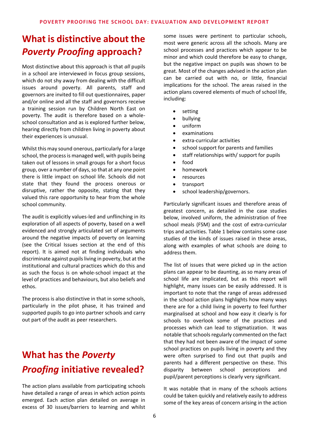## **What is distinctive about the**  *Poverty Proofing* **approach?**

Most distinctive about this approach is that *all* pupils in a school are interviewed in focus group sessions, which do not shy away from dealing with the difficult issues around poverty. All parents, staff and governors are invited to fill out questionnaires, paper and/or online and all the staff and governors receive a training session run by Children North East on poverty. The audit is therefore based on a wholeschool consultation and as is explored further below, hearing directly from children living in poverty about their experiences is unusual.

Whilst this may sound onerous, particularly for a large school, the process is managed well, with pupils being taken out of lessons in small groups for a short focus group, over a number of days, so that at any one point there is little impact on school life. Schools did not state that they found the process onerous or disruptive, rather the opposite, stating that they valued this rare opportunity to hear from the whole school community.

The audit is explicitly values-led and unflinching in its exploration of all aspects of poverty, based on a well evidenced and strongly articulated set of arguments around the negative impacts of poverty on learning (see the Critical Issues section at the end of this report). It is aimed not at finding individuals who discriminate against pupils living in poverty, but at the institutional and cultural practices which do this and as such the focus is on whole-school impact at the level of practices and behaviours, but also beliefs and ethos.

The process is also distinctive in that in some schools, particularly in the pilot phase, it has trained and supported pupils to go into partner schools and carry out part of the audit as peer researchers.

# **What has the** *Poverty Proofing* **initiative revealed?**

The action plans available from participating schools have detailed a range of areas in which action points emerged. Each action plan detailed on average in excess of 30 issues/barriers to learning and whilst some issues were pertinent to particular schools, most were generic across all the schools. Many are school processes and practices which appear to be minor and which could therefore be easy to change, but the negative impact on pupils was shown to be great. Most of the changes advised in the action plan can be carried out with no, or little, financial implications for the school. The areas raised in the action plans covered elements of much of school life, including:

- setting
- bullying
- uniform
- examinations
- extra-curricular activities
- school support for parents and families
- staff relationships with/ support for pupils
- food
- homework
- resources
- transport
- school leadership/governors.

Particularly significant issues and therefore areas of greatest concern, as detailed in the case studies below, involved uniform, the administration of free school meals (FSM) and the cost of extra-curricular trips and activities. Table 1 below contains some case studies of the kinds of issues raised in these areas, along with examples of what schools are doing to address them.

The list of issues that were picked up in the action plans can appear to be daunting, as so many areas of school life are implicated, but as this report will highlight, many issues can be easily addressed. It is important to note that the range of areas addressed in the school action plans highlights how many ways there are for a child living in poverty to feel further marginalised at school and how easy it clearly is for schools to overlook some of the practices and processes which can lead to stigmatization. It was notable that schools regularly commented on the fact that they had not been aware of the impact of some school practices on pupils living in poverty and they were often surprised to find out that pupils and parents had a different perspective on these. This disparity between school perceptions and pupil/parent perceptions is clearly very significant.

It was notable that in many of the schools actions could be taken quickly and relatively easily to address some of the key areas of concern arising in the action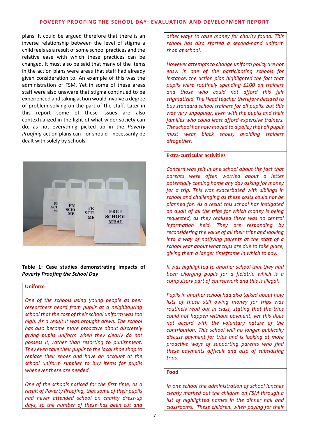plans. It could be argued therefore that there is an inverse relationship between the level of stigma a child feels as a result of some school practices and the relative ease with which these practices can be changed. It must also be said that many of the items in the action plans were areas that staff had already given consideration to. An example of this was the administration of FSM. Yet in some of these areas staff were also unaware that stigma continued to be experienced and taking action would involve a degree of problem solving on the part of the staff. Later in this report some of these issues are also contextualized in the light of what wider society can do, as not everything picked up in the *Poverty Proofing* action plans can - or should - necessarily be dealt with solely by schools.



### **Table 1: Case studies demonstrating impacts of**  *Poverty Proofing the School Day*

#### **Uniform**

*One of the schools using young people as peer researchers heard from pupils at a neighbouring school that the cost of their school uniform was too high. As a result it was brought down. The school has also become more proactive about discretely giving pupils uniform when they clearly do not possess it, rather than resorting to punishment. They even take their pupils to the local shoe shop to replace their shoes and have an account at the school uniform supplier to buy items for pupils whenever these are needed.*

*One of the schools noticed for the first time, as a result of Poverty Proofing, that some of their pupils had never attended school on charity dress-up days, so the number of these has been cut and* 

*other ways to raise money for charity found. This school has also started a second-hand uniform shop at school.* 

*However attemptsto change uniform policy are not easy. In one of the participating schools for instance, the action plan highlighted the fact that pupils were routinely spending £100 on trainers and those who could not afford this felt stigmatized. The Head teacher therefore decided to buy standard school trainers for all pupils, but this was very unpopular, even with the pupils and their families who could least afford expensive trainers. The school has now moved to a policy that all pupils must wear black shoes, avoiding trainers altogether.*

#### **Extra-curricular activities**

*Concern was felt in one school about the fact that parents were often worried about a letter potentially coming home any day asking for money for a trip. This was exacerbated with siblings in school and challenging as these costs could not be planned for. As a result this school has instigated an audit of all the trips for which money is being requested, as they realised there was no central information held. They are responding by reconsidering the value of all their trips and looking into a way of notifying parents at the start of a school year about what trips are due to take place, giving them a longer timeframe in which to pay.*

*It was highlighted to another school that they had been charging pupils for a fieldtrip which is a compulsory part of coursework and this is illegal.*

*Pupils in another school had also talked about how lists of those still owing money for trips was routinely read out in class, stating that the trips could not happen without payment, yet this does not accord with the voluntary nature of the contribution. This school will no longer publically discuss payment for trips and is looking at more proactive ways of supporting parents who find these payments difficult and also of subsidising trips.*

#### **Food**

*In one school the administration of school lunches clearly marked out the children on FSM through a list of highlighted names in the dinner hall and classrooms. These children, when paying for their*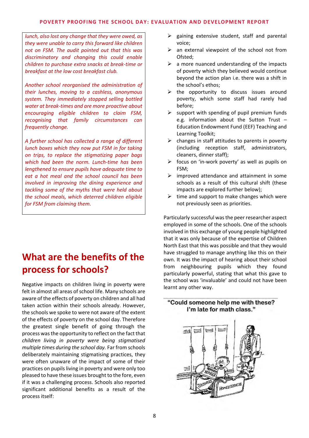*lunch, also lost any change that they were owed, as they were unable to carry this forward like children not on FSM. The audit pointed out that this was discriminatory and changing this could enable children to purchase extra snacks at break-time or breakfast at the low cost breakfast club.*

*Another school reorganised the administration of their lunches, moving to a cashless, anonymous system. They immediately stopped selling bottled water at break-times and are more proactive about encouraging eligible children to claim FSM, recognising that family circumstances can frequently change.*

*A further school has collected a range of different lunch boxes which they now put FSM in for taking on trips, to replace the stigmatizing paper bags which had been the norm. Lunch-time has been lengthened to ensure pupils have adequate time to eat a hot meal and the school council has been involved in improving the dining experience and tackling some of the myths that were held about the school meals, which deterred children eligible for FSM from claiming them.*

# **What are the benefits of the process for schools?**

Negative impacts on children living in poverty were felt in almost all areas of school life. Many schools are aware of the effects of poverty on children and all had taken action within their schools already. However, the schools we spoke to were not aware of the extent of the effects of poverty on the school day. Therefore the greatest single benefit of going through the process was the opportunity to reflect on the fact that *children living in poverty were being stigmatised multiple times during the school day.* Far from schools deliberately maintaining stigmatising practices, they were often unaware of the impact of some of their practices on pupils living in poverty and were only too pleased to have these issues brought to the fore, even if it was a challenging process. Schools also reported significant additional benefits as a result of the process itself:

- $\triangleright$  gaining extensive student, staff and parental voice;
- $\triangleright$  an external viewpoint of the school not from Ofsted;
- $\triangleright$  a more nuanced understanding of the impacts of poverty which they believed would continue beyond the action plan i.e. there was a shift in the school's ethos;
- $\triangleright$  the opportunity to discuss issues around poverty, which some staff had rarely had before;
- $\triangleright$  support with spending of pupil premium funds e.g. information about the Sutton Trust – Education Endowment Fund (EEF) Teaching and Learning Toolkit;
- $\triangleright$  changes in staff attitudes to parents in poverty (including reception staff, administrators, cleaners, dinner staff);
- $\triangleright$  focus on 'in-work poverty' as well as pupils on FSM;
- $\triangleright$  improved attendance and attainment in some schools as a result of this cultural shift (these impacts are explored further below);
- $\triangleright$  time and support to make changes which were not previously seen as priorities.

Particularly successful was the peer researcher aspect employed in some of the schools. One of the schools involved in this exchange of young people highlighted that it was only because of the expertise of Children North East that this was possible and that they would have struggled to manage anything like this on their own. It was the impact of hearing about their school from neighbouring pupils which they found particularly powerful, stating that what this gave to the school was 'invaluable' and could not have been learnt any other way.

"Could someone help me with these? I'm late for math class."

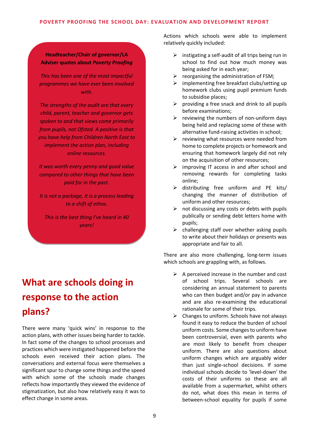### **Headteacher/Chair of governor/LA Adviser quotes about** *Poverty Proofing*

*This has been one of the most impactful programmes we have ever been involved with.* 

*The strengths of the audit are that every child, parent, teacher and governor gets spoken to and that views come primarily from pupils, not Ofsted. A positive is that you have help from Children North East to implement the action plan, including online resources.* 

*It was worth every penny and good value compared to other things that have been paid for in the past.* 

*It is not a package, it is a process leading to a shift of ethos.* 

*This is the best thing I've heard in 40 years!*

# **What are schools doing in response to the action plans?**

There were many 'quick wins' in response to the action plans, with other issues being harder to tackle. In fact some of the changes to school processes and practices which were instigated happened before the schools even received their action plans. The conversations and external focus were themselves a significant spur to change some things and the speed with which some of the schools made changes reflects how importantly they viewed the evidence of stigmatization, but also how relatively easy it was to effect change in some areas.

Actions which schools were able to implement relatively quickly included:

- $\triangleright$  instigating a self-audit of all trips being run in school to find out how much money was being asked for in each year;
- $\triangleright$  reorganising the administration of FSM;
- $\triangleright$  implementing free breakfast clubs/setting up homework clubs using pupil premium funds to subsidise places;
- $\triangleright$  providing a free snack and drink to all pupils before examinations;
- $\triangleright$  reviewing the numbers of non-uniform days being held and replacing some of these with alternative fund-raising activities in school;
- $\triangleright$  reviewing what resources were needed from home to complete projects or homework and ensuring that homework largely did not rely on the acquisition of other resources;
- $\triangleright$  improving IT access in and after school and removing rewards for completing tasks online;
- $\triangleright$  distributing free uniform and PE kits/ changing the manner of distribution of uniform and other resources;
- $\triangleright$  not discussing any costs or debts with pupils publically or sending debt letters home with pupils;
- $\triangleright$  challenging staff over whether asking pupils to write about their holidays or presents was appropriate and fair to all.

There are also more challenging, long-term issues which schools are grappling with, as follows.

- $\triangleright$  A perceived increase in the number and cost of school trips. Several schools are considering an annual statement to parents who can then budget and/or pay in advance and are also re-examining the educational rationale for some of their trips.
- $\triangleright$  Changes to uniform. Schools have not always found it easy to reduce the burden of school uniform costs. Some changes to uniform have been controversial, even with parents who are most likely to benefit from cheaper uniform. There are also questions about uniform changes which are arguably wider than just single-school decisions. If some individual schools decide to 'level-down' the costs of their uniforms so these are all available from a supermarket, whilst others do not, what does this mean in terms of between-school equality for pupils if some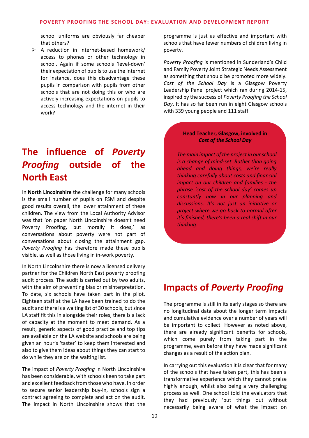school uniforms are obviously far cheaper that others?

 $\triangleright$  A reduction in internet-based homework/ access to phones or other technology in school. Again if some schools 'level-down' their expectation of pupils to use the internet for instance, does this disadvantage these pupils in comparison with pupils from other schools that are not doing this or who are actively increasing expectations on pupils to access technology and the internet in their work?

## **The influence of** *Poverty Proofing* **outside of the North East**

In **North Lincolnshire** the challenge for many schools is the small number of pupils on FSM and despite good results overall, the lower attainment of these children. The view from the Local Authority Advisor was that 'on paper North Lincolnshire doesn't need Poverty Proofing, but morally it does,' as conversations about poverty were not part of conversations about closing the attainment gap. *Poverty Proofing* has therefore made these pupils visible, as well as those living in in-work poverty.

In North Lincolnshire there is now a licensed delivery partner for the Children North East poverty proofing audit process. The audit is carried out by two adults, with the aim of preventing bias or misinterpretation. To date, six schools have taken part in the pilot. Eighteen staff at the LA have been trained to do the audit and there is a waiting list of 30 schools, but since LA staff fit this in alongside their roles, there is a lack of capacity at the moment to meet demand. As a result, generic aspects of good practice and top tips are available on the LA website and schools are being given an hour's 'taster' to keep them interested and also to give them ideas about things they can start to do while they are on the waiting list.

The impact of *Poverty Proofing* in North Lincolnshire has been considerable, with schools keen to take part and excellent feedback from those who have. In order to secure senior leadership buy-in, schools sign a contract agreeing to complete and act on the audit. The impact in North Lincolnshire shows that the

programme is just as effective and important with schools that have fewer numbers of children living in poverty.

*Poverty Proofing* is mentioned in Sunderland's Child and Family Poverty Joint Strategic Needs Assessment as something that should be promoted more widely. *Cost of the School Day* is a [Glasgow Poverty](http://www.povertyleadershippanel.org.uk/)  [Leadership Panel](http://www.povertyleadershippanel.org.uk/) project which ran during 2014-15, inspired by the success of *Poverty Proofing the School Day*. It has so far been run in eight Glasgow schools with 339 young people and 111 staff.

### **Head Teacher, Glasgow, involved in**  *Cost of the School Day*

*The main impact of the project in our school is a change of mind-set. Rather than going ahead and doing things, we're really thinking carefully about costs and financial impact on our children and families - the phrase 'cost of the school day' comes up constantly now in our planning and discussions. It's not just an initiative or project where we go back to normal after it's finished, there's been a real shift in our thinking*.

### **Impacts of** *Poverty Proofing*

The programme is still in its early stages so there are no longitudinal data about the longer term impacts and cumulative evidence over a number of years will be important to collect. However as noted above, there are already significant benefits for schools, which come purely from taking part in the programme, even before they have made significant changes as a result of the action plan.

In carrying out this evaluation it is clear that for many of the schools that have taken part, this has been a transformative experience which they cannot praise highly enough, whilst also being a very challenging process as well. One school told the evaluators that they had previously 'put things out without necessarily being aware of what the impact on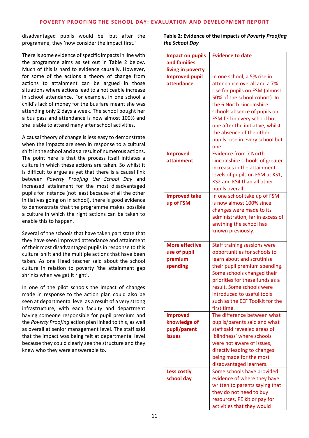disadvantaged pupils would be' but after the programme, they 'now consider the impact first.'

There is some evidence of specific impacts in line with the programme aims as set out in Table 2 below. Much of this is hard to evidence causally. However, for some of the actions a theory of change from actions to attainment can be argued in those situations where actions lead to a noticeable increase in school attendance. For example, in one school a child's lack of money for the bus fare meant she was attending only 2 days a week. The school bought her a bus pass and attendance is now almost 100% and she is able to attend many after school activities.

A causal theory of change is less easy to demonstrate when the impacts are seen in response to a cultural shift in the school and as a result of numerous actions. The point here is that the process itself initiates a culture in which these actions are taken. So whilst it is difficult to argue as yet that there is a causal link between *Poverty Proofing the School Day* and increased attainment for the most disadvantaged pupils for instance (not least because of all the other initiatives going on in school), there is good evidence to demonstrate that the programme makes possible a culture in which the right actions can be taken to enable this to happen.

Several of the schools that have taken part state that they have seen improved attendance and attainment of their most disadvantaged pupils in response to this cultural shift and the multiple actions that have been taken. As one Head teacher said about the school culture in relation to poverty 'the attainment gap shrinks when we get it right'.

In one of the pilot schools the impact of changes made in response to the action plan could also be seen at departmental level as a result of a very strong infrastructure, with each faculty and department having someone responsible for pupil premium and the *Poverty Proofing* action plan linked to this, as well as overall at senior management level. The staff said that the impact was being felt at departmental level because they could clearly see the structure and they knew who they were answerable to.

**Table 2: Evidence of the impacts of** *Poverty Proofing the School Day* 

| <b>Impact on pupils</b> | <b>Evidence to date</b>             |  |
|-------------------------|-------------------------------------|--|
| and families            |                                     |  |
| living in poverty       |                                     |  |
| <b>Improved pupil</b>   | In one school, a 5% rise in         |  |
| attendance              | attendance overall and a 7%         |  |
|                         | rise for pupils on FSM (almost      |  |
|                         | 50% of the school cohort). In       |  |
|                         | the 6 North Lincolnshire            |  |
|                         | schools absence of pupils on        |  |
|                         | FSM fell in every school but        |  |
|                         | one after the initiative, whilst    |  |
|                         | the absence of the other            |  |
|                         | pupils rose in every school but     |  |
|                         | one.                                |  |
| <b>Improved</b>         | <b>Evidence from 7 North</b>        |  |
| attainment              | Lincolnshire schools of greater     |  |
|                         | increases in the attainment         |  |
|                         | levels of pupils on FSM at KS1,     |  |
|                         | KS2 and KS4 than all other          |  |
|                         | pupils overall.                     |  |
| <b>Improved take</b>    | In one school take up of FSM        |  |
| up of FSM               | is now almost 100% since            |  |
|                         | changes were made to its            |  |
|                         | administration, far in excess of    |  |
|                         | anything the school has             |  |
|                         | known previously.                   |  |
|                         |                                     |  |
| <b>More effective</b>   | <b>Staff training sessions were</b> |  |
| use of pupil            | opportunities for schools to        |  |
| premium                 | learn about and scrutinise          |  |
| spending                | their pupil premium spending.       |  |
|                         | Some schools changed their          |  |
|                         | priorities for these funds as a     |  |
|                         | result. Some schools were           |  |
|                         | introduced to useful tools          |  |
|                         | such as the EEF Toolkit for the     |  |
|                         | first time.                         |  |
| <b>Improved</b>         | The difference between what         |  |
| knowledge of            | pupils/parents said and what        |  |
| pupil/parent            | staff said revealed areas of        |  |
| <b>issues</b>           | 'blindness' where schools           |  |
|                         | were not aware of issues,           |  |
|                         | directly leading to changes         |  |
|                         | being made for the most             |  |
|                         | disadvantaged learners.             |  |
| <b>Less costly</b>      | Some schools have provided          |  |
| school day              | evidence of where they have         |  |
|                         | written to parents saying that      |  |
|                         | they do not need to buy             |  |
|                         | resources, PE kit or pay for        |  |
|                         | activities that they would          |  |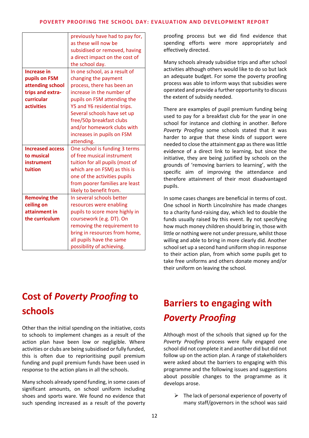|                         | previously have had to pay for, |  |
|-------------------------|---------------------------------|--|
|                         | as these will now be            |  |
|                         | subsidised or removed, having   |  |
|                         | a direct impact on the cost of  |  |
|                         | the school day.                 |  |
| <b>Increase in</b>      | In one school, as a result of   |  |
| pupils on FSM           | changing the payment            |  |
| attending school        | process, there has been an      |  |
| trips and extra-        | increase in the number of       |  |
| curricular              | pupils on FSM attending the     |  |
| <b>activities</b>       | Y5 and Y6 residential trips.    |  |
|                         | Several schools have set up     |  |
|                         | free/50p breakfast clubs        |  |
|                         | and/or homework clubs with      |  |
|                         | increases in pupils on FSM      |  |
|                         | attending.                      |  |
| <b>Increased access</b> | One school is funding 3 terms   |  |
| to musical              | of free musical instrument      |  |
| instrument              | tuition for all pupils (most of |  |
| tuition                 | which are on FSM) as this is    |  |
|                         | one of the activities pupils    |  |
|                         | from poorer families are least  |  |
|                         | likely to benefit from.         |  |
| <b>Removing the</b>     | In several schools better       |  |
| ceiling on              | resources were enabling         |  |
| attainment in           | pupils to score more highly in  |  |
| the curriculum          | coursework (e.g. DT). On        |  |
|                         | removing the requirement to     |  |
|                         | bring in resources from home,   |  |
|                         | all pupils have the same        |  |
|                         | possibility of achieving.       |  |

proofing process but we did find evidence that spending efforts were more appropriately and effectively directed.

Many schools already subsidise trips and after school activities although others would like to do so but lack an adequate budget. For some the poverty proofing process was able to inform ways that subsidies were operated and provide a further opportunity to discuss the extent of subsidy needed.

There are examples of pupil premium funding being used to pay for a breakfast club for the year in one school for instance and clothing in another. Before *Poverty Proofing* some schools stated that it was harder to argue that these kinds of support were needed to close the attainment gap as there was little evidence of a direct link to learning, but since the initiative, they are being justified by schools on the grounds of 'removing barriers to learning', with the specific aim of improving the attendance and therefore attainment of their most disadvantaged pupils.

In some cases changes are beneficial in terms of cost. One school in North Lincolnshire has made changes to a charity fund-raising day, which led to double the funds usually raised by this event. By not specifying how much money children should bring in, those with little or nothing were not under pressure, whilst those willing and able to bring in more clearly did. Another school set up a second hand uniform shop in response to their action plan, from which some pupils get to take free uniforms and others donate money and/or their uniform on leaving the school.

# **Cost of** *Poverty Proofing* **to schools**

Other than the initial spending on the initiative, costs to schools to implement changes as a result of the action plan have been low or negligible. Where activities or clubs are being subsidised or fully funded, this is often due to reprioritising pupil premium funding and pupil premium funds have been used in response to the action plans in all the schools.

Many schools already spend funding, in some cases of significant amounts, on school uniform including shoes and sports ware. We found no evidence that such spending increased as a result of the poverty

# **Barriers to engaging with** *Poverty Proofing*

Although most of the schools that signed up for the *Poverty Proofing* process were fully engaged one school did not complete it and another did but did not follow up on the action plan. A range of stakeholders were asked about the barriers to engaging with this programme and the following issues and suggestions about possible changes to the programme as it develops arose.

 $\triangleright$  The lack of personal experience of poverty of many staff/governors in the school was said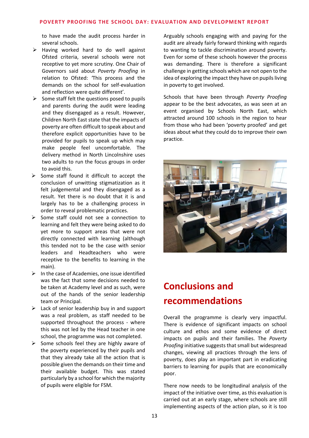to have made the audit process harder in several schools.

- $\triangleright$  Having worked hard to do well against Ofsted criteria, several schools were not receptive to yet more scrutiny. One Chair of Governors said about *Poverty Proofing* in relation to Ofsted: *'*This process and the demands on the school for self-evaluation and reflection were quite different'.
- $\triangleright$  Some staff felt the questions posed to pupils and parents during the audit were leading and they disengaged as a result. However, Children North East state that the impacts of poverty are often difficult to speak about and therefore explicit opportunities have to be provided for pupils to speak up which may make people feel uncomfortable. The delivery method in North Lincolnshire uses two adults to run the focus groups in order to avoid this.
- $\triangleright$  Some staff found it difficult to accept the conclusion of unwitting stigmatization as it felt judgemental and they disengaged as a result. Yet there is no doubt that it is and largely has to be a challenging process in order to reveal problematic practices.
- $\triangleright$  Some staff could not see a connection to learning and felt they were being asked to do yet more to support areas that were not directly connected with learning (although this tended not to be the case with senior leaders and Headteachers who were receptive to the benefits to learning in the main).
- $\triangleright$  In the case of Academies, one issue identified was the fact that some decisions needed to be taken at Academy level and as such, were out of the hands of the senior leadership team or Principal.
- $\triangleright$  Lack of senior leadership buy in and support was a real problem, as staff needed to be supported throughout the process - where this was not led by the Head teacher in one school, the programme was not completed.
- $\triangleright$  Some schools feel they are highly aware of the poverty experienced by their pupils and that they already take all the action that is possible given the demands on their time and their available budget. This was stated particularly by a school for which the majority of pupils were eligible for FSM.

Arguably schools engaging with and paying for the audit are already fairly forward thinking with regards to wanting to tackle discrimination around poverty. Even for some of these schools however the process was demanding. There is therefore a significant challenge in getting schools which are not open to the idea of exploring the impact they have on pupils living in poverty to get involved.

Schools that have been through *Poverty Proofing* appear to be the best advocates, as was seen at an event organised by Schools North East, which attracted around 100 schools in the region to hear from those who had been 'poverty proofed' and get ideas about what they could do to improve their own practice.



# **Conclusions and recommendations**

Overall the programme is clearly very impactful. There is evidence of significant impacts on school culture and ethos and some evidence of direct impacts on pupils and their families. The *Poverty Proofing* initiative suggests that small but widespread changes, viewing all practices through the lens of poverty, does play an important part in eradicating barriers to learning for pupils that are economically poor.

There now needs to be longitudinal analysis of the impact of the initiative over time, as this evaluation is carried out at an early stage, where schools are still implementing aspects of the action plan, so it is too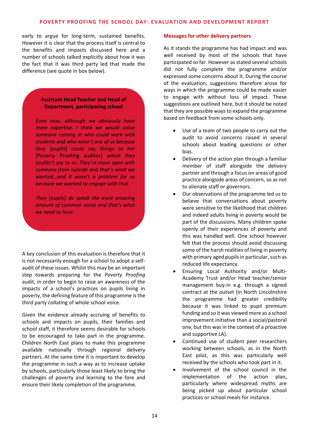early to argue for long-term, sustained benefits. However it is clear that the process itself is central to the benefits and impacts discussed here and a number of schools talked explicitly about how it was the fact that it was third party led that made the difference (see quote in box below).

### **Assistant Head Teacher and Head of Department, participating school**

*Even now, although we obviously have more expertise, I think we would value someone coming in who could work with students and who wasn't one of us because they* [pupils] *could say things to her*  [Poverty Proofing auditor] *which they couldn't say to us. They're more open with someone from outside and that's what we wanted…and it wasn't a problem for us because we wanted to engage with that*.

*They* [pupils] *do speak the most amazing amount of common sense and that's what we need to hear.*

A key conclusion of this evaluation is therefore that it is not necessarily enough for a school to adopt a selfaudit of these issues. Whilst this may be an important step towards preparing for the *Poverty Proofing*  audit, in order to begin to raise an awareness of the impacts of a school's practices on pupils living in poverty, the defining feature of this programme is the third party collating of whole school voice.

Given the evidence already accruing of benefits to schools and impacts on pupils, their families and school staff, it therefore seems desirable for schools to be encouraged to take part in the programme. Children North East plans to make this programme available nationally through regional delivery partners. At the same time it is important to develop the programme in such a way as to increase uptake by schools, particularly those least likely to bring the challenges of poverty and learning to the fore and ensure their likely completion of the programme.

### **Messages for other delivery partners**

As it stands the programme has had impact and was well received by most of the schools that have participated so far. However as stated several schools did not fully complete the programme and/or expressed some concerns about it. During the course of the evaluation, suggestions therefore arose for ways in which the programme could be made easier to engage with without loss of impact. These suggestions are outlined here, but it should be noted that they are possible ways to expand the programme based on feedback from some schools only.

- Use of a team of two people to carry out the audit to avoid concerns raised in several schools about leading questions or other bias.
- Delivery of the action plan through a familiar member of staff alongside the delivery partner and through a focus on areas of good practice alongside areas of concern, so as not to alienate staff or governors.
- Our observations of the programme led us to believe that conversations about poverty were sensitive to the likelihood that children and indeed adults living in poverty would be part of the discussions. Many children spoke openly of their experiences of poverty and this was handled well. One school however felt that the process should avoid discussing some of the harsh realities of living in poverty with primary aged pupils in particular, such as reduced life expectancy.
- Ensuring Local Authority and/or Multi-Academy Trust and/or Head teacher/senior management buy-in e.g. through a signed contract at the outset (in North Lincolnshire the programme had greater credibility because it was linked to pupil premium funding and so it was viewed more as a school improvement initiative than a social/pastoral one, but this was in the context of a proactive and supportive LA).
- Continued use of student peer researchers working between schools, as in the North East pilot, as this was particularly well received by the schools who took part in it.
- Involvement of the school council in the implementation of the action plan, particularly where widespread myths are being picked up about particular school practices or school meals for instance.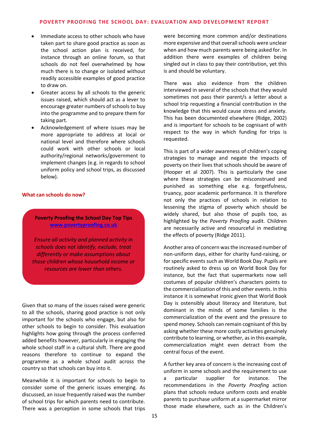- Immediate access to other schools who have taken part to share good practice as soon as the school action plan is received, for instance through an online forum, so that schools do not feel overwhelmed by how much there is to change or isolated without readily accessible examples of good practice to draw on.
- Greater access by all schools to the generic issues raised, which should act as a lever to encourage greater numbers of schools to buy into the programme and to prepare them for taking part.
- Acknowledgement of where issues may be more appropriate to address at local or national level and therefore where schools could work with other schools or local authority/regional networks/government to implement changes (e.g. in regards to school uniform policy and school trips, as discussed below).

### **What can schools do now?**

**Poverty Proofing the School Day Top Tips [www.povertyproofing.co.uk](http://www.povertyproofing.co.uk/)**

*Ensure all activity and planned activity in schools does not identify, exclude, treat differently or make assumptions about those children whose household income or resources are lower than others*.

Given that so many of the issues raised were generic to all the schools, sharing good practice is not only important for the schools who engage, but also for other schools to begin to consider. This evaluation highlights how going through the process conferred added benefits however, particularly in engaging the whole school staff in a cultural shift. There are good reasons therefore to continue to expand the programme as a whole school audit across the country so that schools can buy into it.

Meanwhile it is important for schools to begin to consider some of the generic issues emerging. As discussed, an issue frequently raised was the number of school trips for which parents need to contribute. There was a perception in some schools that trips

were becoming more common and/or destinations more expensive and that overall schools were unclear when and how much parents were being asked for. In addition there were examples of children being singled out in class to pay their contribution, yet this is and should be voluntary.

There was also evidence from the children interviewed in several of the schools that they would sometimes not pass their parent/s a letter about a school trip requesting a financial contribution in the knowledge that this would cause stress and anxiety. This has been documented elsewhere (Ridge, 2002) and is important for schools to be cognisant of with respect to the way in which funding for trips is requested.

This is part of a wider awareness of children's coping strategies to manage and negate the impacts of poverty on their lives that schools should be aware of (Hooper et al 2007). This is particularly the case where these strategies can be misconstrued and punished as something else e.g. forgetfulness, truancy, poor academic performance. It is therefore not only the practices of schools in relation to lessening the stigma of poverty which should be widely shared, but also those of pupils too, as highlighted by the *Poverty Proofing* audit. Children are necessarily active and resourceful in mediating the effects of poverty (Ridge 2011).

Another area of concern was the increased number of non-uniform days, either for charity fund-raising, or for specific events such as World Book Day. Pupils are routinely asked to dress up on World Book Day for instance, but the fact that supermarkets now sell costumes of popular children's characters points to the commercialization of this and other events. In this instance it is somewhat ironic given that World Book Day is ostensibly about literacy and literature, but dominant in the minds of some families is the commercialization of the event and the pressure to spend money. Schools can remain cognisant of this by asking whether these more costly activities genuinely contribute to learning, or whether, as in this example, commercialization might even detract from the central focus of the event.

A further key area of concern is the increasing cost of uniform in some schools and the requirement to use a particular supplier for instance. The recommendations in the *Poverty Proofing* action plans that schools reduce uniform costs and enable parents to purchase uniform at a supermarket mirror those made elsewhere, such as in the Children's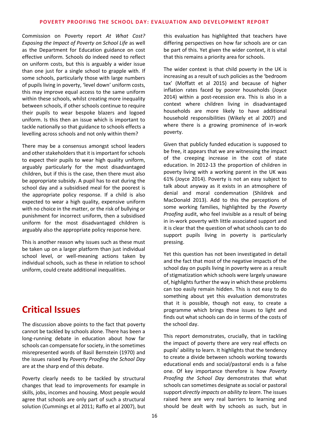Commission on Poverty report *At What Cost? Exposing the Impact of Poverty on School Life* as well as the Department for Education guidance on cost effective uniform*.* Schools do indeed need to reflect on uniform costs, but this is arguably a wider issue than one just for a single school to grapple with. If some schools, particularly those with large numbers of pupils living in poverty, 'level down' uniform costs, this may improve equal access to the same uniform within these schools, whilst creating more inequality between schools, if other schools continue to require their pupils to wear bespoke blazers and logoed uniform. Is this then an issue which is important to tackle nationally so that guidance to schools effects a levelling across schools and not only within them?

There may be a consensus amongst school leaders and other stakeholders that it is important for schools to expect their pupils to wear high quality uniform, arguably particularly for the most disadvantaged children, but if this is the case, then there must also be appropriate subsidy. A pupil has to eat during the school day and a subsidised meal for the poorest is the appropriate policy response. If a child is also expected to wear a high quality, expensive uniform with no choice in the matter, or the risk of bullying or punishment for incorrect uniform, then a subsidised uniform for the most disadvantaged children is arguably also the appropriate policy response here.

This is another reason why issues such as these must be taken up on a larger platform than just individual school level, or well-meaning actions taken by individual schools, such as these in relation to school uniform, could create additional inequalities.

## **Critical Issues**

The discussion above points to the fact that poverty cannot be tackled by schools alone. There has been a long-running debate in education about how far schools can compensate for society, in the sometimes misrepresented words of Basil Bernstein (1970) and the issues raised by *Poverty Proofing the School Day*  are at the sharp end of this debate.

Poverty clearly needs to be tackled by structural changes that lead to improvements for example in skills, jobs, incomes and housing. Most people would agree that schools are only part of such a structural solution (Cummings et al 2011; Raffo et al 2007), but this evaluation has highlighted that teachers have differing perspectives on how far schools are or can be part of this. Yet given the wider context, it is vital that this remains a priority area for schools.

The wider context is that child poverty in the UK is increasing as a result of such policies as the 'bedroom tax' (Moffatt et al 2015) and because of higher inflation rates faced by poorer households (Joyce 2014) within a post-recession era. This is also in a context where children living in disadvantaged households are more likely to have additional household responsibilities (Wikely et al 2007) and where there is a growing prominence of in-work poverty.

Given that publicly funded education is supposed to be free, it appears that we are witnessing the impact of the creeping increase in the cost of state education. In 2012-13 the proportion of children in poverty living with a working parent in the UK was 61% (Joyce 2014). Poverty is not an easy subject to talk about anyway as it exists in an atmosphere of denial and moral condemnation (Shildrek and MacDonald 2013). Add to this the perceptions of some working families, highlighted by the *Poverty Proofing* audit, who feel invisible as a result of being in in-work poverty with little associated support and it is clear that the question of what schools can to do support pupils living in poverty is particularly pressing.

Yet this question has not been investigated in detail and the fact that most of the negative impacts of the school day on pupils living in poverty were as a result of stigmatization which schools were largely unaware of, highlights further the way in which these problems can too easily remain hidden. This is not easy to do something about yet this evaluation demonstrates that it is possible, though not easy, to create a programme which brings these issues to light and finds out what schools can do in terms of the costs of the school day.

This report demonstrates, crucially, that in tackling the impact of poverty there are very real effects on pupils' ability to learn. It highlights that the tendency to create a divide between schools working towards educational ends and social/pastoral ends is a false one. Of key importance therefore is how *Poverty Proofing the School Day* demonstrates that what schools can sometimes designate as social or pastoral support *directly impacts on ability to learn*. The issues raised here are very real barriers to learning and should be dealt with by schools as such, but in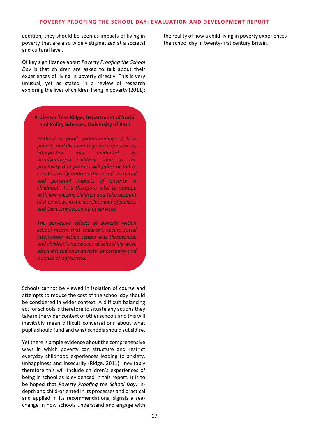addition, they should be seen as impacts of living in poverty that are also widely stigmatized at a societal and cultural level.

Of key significance about *Poverty Proofing the School Day* is that children are asked to talk about their experiences of living in poverty directly. This is very unusual, yet as stated in a review of research exploring the lives of children living in poverty (2011):

### **Professor Tess Ridge, Department of Social and Policy Sciences, University of Bath**

*Without a good understanding of how poverty and disadvantage are experienced, interpreted and mediated by disadvantaged children, there is the possibility that policies will falter or fail to constructively address the social, material and personal impacts of poverty in childhood. It is therefore vital to engage with low-income children and take account of their views in the development of policies and the commissioning of services.* 

*The pervasive effects of poverty within school meant that children's secure social integration within school was threatened, and children's narratives of school life were often infused with anxiety, uncertainty and a sense of unfairness.*

Schools cannot be viewed in isolation of course and attempts to reduce the cost of the school day should be considered in wider context. A difficult balancing act for schools is therefore to situate any actions they take in the wider context of other schools and this will inevitably mean difficult conversations about what pupils should fund and what schools should subsidise.

Yet there is ample evidence about the comprehensive ways in which poverty can structure and restrict everyday childhood experiences leading to anxiety, unhappiness and insecurity (Ridge, 2011). Inevitably therefore this will include children's experiences of being in school as is evidenced in this report. It is to be hoped that *Poverty Proofing the School Day*, indepth and child-oriented in its processes and practical and applied in its recommendations, signals a seachange in how schools understand and engage with

the reality of how a child living in poverty experiences the school day in twenty-first century Britain.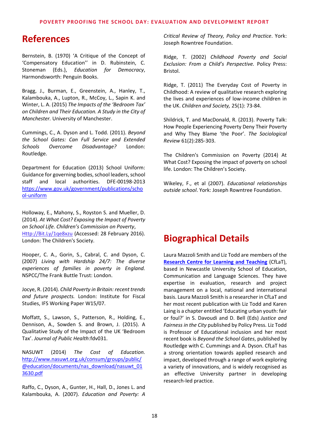### **References**

Bernstein, B. (1970) 'A Critique of the Concept of 'Compensatory Education'' in D. Rubinstein, C. Stoneman (Eds.), *Education for Democracy*, Harmondsworth: Penguin Books.

Bragg, J., Burman, E., Greenstein, A., Hanley, T., Kalambouka, A., Lupton, R., McCoy, L., Sapin K. and Winter, L. A. (2015) *The Impacts of the 'Bedroom Tax' on Children and Their Education. A Study in the City of Manchester.* University of Manchester.

Cummings, C., A. Dyson and L. Todd. (2011). *Beyond the School Gates: Can Full Service and Extended Schools Overcome Disadvantage?* London: Routledge.

Department for Education (2013) School Uniform: Guidance for governing bodies, school leaders, school staff and local authorities. DFE-00198-2013 [https://www.gov.uk/government/publications/scho](https://www.gov.uk/government/publications/school-uniform) [ol-uniform](https://www.gov.uk/government/publications/school-uniform)

Holloway, E., Mahony, S., Royston S. and Mueller, D. (2014). *At What Cost? Exposing the Impact of Poverty on School Life. Children's Commission on Poverty*, [Http://Bit.Ly/1qe8xzu](http://bit.ly/1qe8xzu) (Accessed: 28 February 2016). London: The Children's Society.

Hooper, C. A., Gorin, S., Cabral, C. and Dyson, C. (2007) *Living with Hardship 24/7: The diverse experiences of families in poverty in England.*  NSPCC/The Frank Buttle Trust: London.

Jocye, R. (2014). *Child Poverty in Britain: recent trends and future prospects.* London: Institute for Fiscal Studies, IFS Working Paper W15/07.

Moffatt, S., Lawson, S., Patterson, R., Holding, E., Dennison, A., Sowden S. and Brown, J. (2015). A Qualitative Study of the Impact of the UK 'Bedroom Tax'. *Journal of Public Health*:fdv031.

NASUWT (2014) *The Cost of Education.*  [http://www.nasuwt.org.uk/consum/groups/public/](http://www.nasuwt.org.uk/consum/groups/public/@education/documents/nas_download/nasuwt_013630.pdf) [@education/documents/nas\\_download/nasuwt\\_01](http://www.nasuwt.org.uk/consum/groups/public/@education/documents/nas_download/nasuwt_013630.pdf) [3630.pdf](http://www.nasuwt.org.uk/consum/groups/public/@education/documents/nas_download/nasuwt_013630.pdf)

Raffo, C., Dyson, A., Gunter, H., Hall, D., Jones L. and Kalambouka, A. (2007). *Education and Poverty: A* 

*Critical Review of Theory, Policy and Practice*. York: Joseph Rowntree Foundation.

Ridge, T. (2002) *Childhood Poverty and Social Exclusion: From a Child's Perspective.* Policy Press: Bristol.

Ridge, T. (2011) The Everyday Cost of Poverty in Childhood: A review of qualitative research exploring the lives and experiences of low-income children in the UK. *Children and Society,* 25(1): 73-84.

Shildrick, T. and MacDonald, R. (2013). Poverty Talk: How People Experiencing Poverty Deny Their Poverty and Why They Blame 'the Poor'. *The Sociological Review* 61(2):285-303.

The Children's Commission on Poverty (2014) At What Cost? Exposing the impact of poverty on school life. London: The Children's Society.

Wikeley, F., et al (2007). *Educational relationships outside school*. York: Joseph Rowntree Foundation.

### **Biographical Details**

Laura Mazzoli Smith and Liz Todd are members of the **[Research Centre for Learning and Teaching](http://www.ncl.ac.uk/cflat/)** (CfLaT), based in Newcastle University School of Education, Communication and Language Sciences. They have expertise in evaluation, research and project management on a local, national and international basis. Laura Mazzoli Smith is a researcher in CfLaT and her most recent publication with Liz Todd and Karen Laing is a chapter entitled '[Educating urban youth: fair](http://www.ncl.ac.uk/ecls/research/publication/171939)  [or foul?](http://www.ncl.ac.uk/ecls/research/publication/171939)' in S. Davoudi and D. Bell (Eds) *Justice and Fairness in the City* published by Policy Press*.* Liz Todd is Professor of Educational inclusion and her most recent book is *Beyond the School Gates*, published by Routledge with C. Cummings and A. Dyson. CfLaT has a strong orientation towards applied research and impact, developed through a range of work exploring a variety of innovations, and is widely recognised as an effective University partner in developing research-led practice.